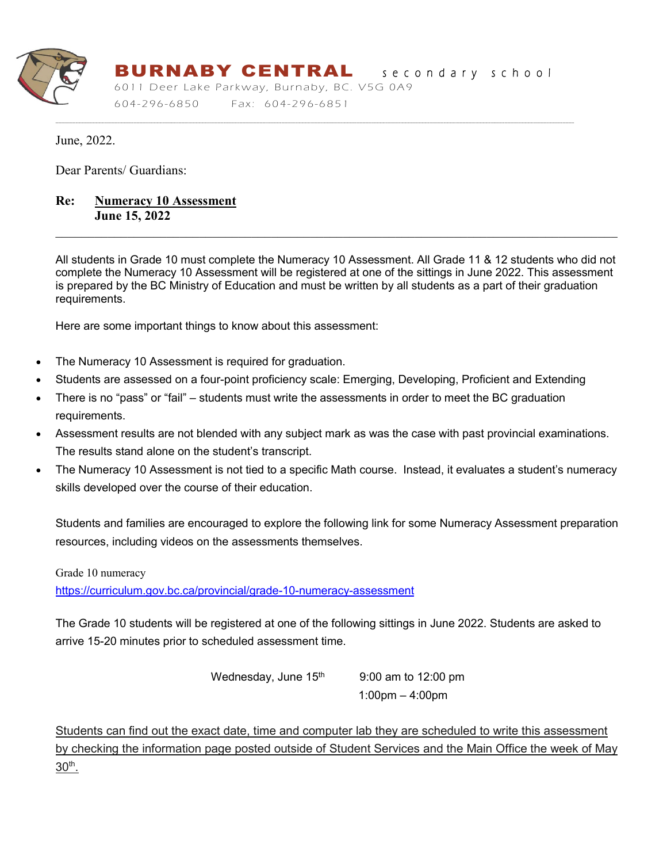

# BURNABY CENTRALsecondary school

----------------------------------------------------------------------------------------------------------------------------------------------------------------------------------------------------------------------------------------------------------------------------------------------------------------------------------------------------------------------

6011 Deer Lake Parkway, Burnaby, BC. V5G 0A9 604-296 -6850 Fax: 604-296-6851

June, 2022.

Dear Parents/ Guardians:

# **Re: Numeracy 10 Assessment June 15, 2022**

All students in Grade 10 must complete the Numeracy 10 Assessment. All Grade 11 & 12 students who did not complete the Numeracy 10 Assessment will be registered at one of the sittings in June 2022. This assessment is prepared by the BC Ministry of Education and must be written by all students as a part of their graduation requirements.

Here are some important things to know about this assessment:

- The Numeracy 10 Assessment is required for graduation.
- Students are assessed on a four-point proficiency scale: Emerging, Developing, Proficient and Extending
- There is no "pass" or "fail" students must write the assessments in order to meet the BC graduation requirements.
- Assessment results are not blended with any subject mark as was the case with past provincial examinations. The results stand alone on the student's transcript.
- The Numeracy 10 Assessment is not tied to a specific Math course. Instead, it evaluates a student's numeracy skills developed over the course of their education.

Students and families are encouraged to explore the following link for some Numeracy Assessment preparation resources, including videos on the assessments themselves.

Grade 10 numeracy

<https://curriculum.gov.bc.ca/provincial/grade-10-numeracy-assessment>

The Grade 10 students will be registered at one of the following sittings in June 2022. Students are asked to arrive 15-20 minutes prior to scheduled assessment time.

Wednesday, June  $15<sup>th</sup>$  9:00 am to 12:00 pm

1:00pm – 4:00pm

Students can find out the exact date, time and computer lab they are scheduled to write this assessment by checking the information page posted outside of Student Services and the Main Office the week of May 30th.